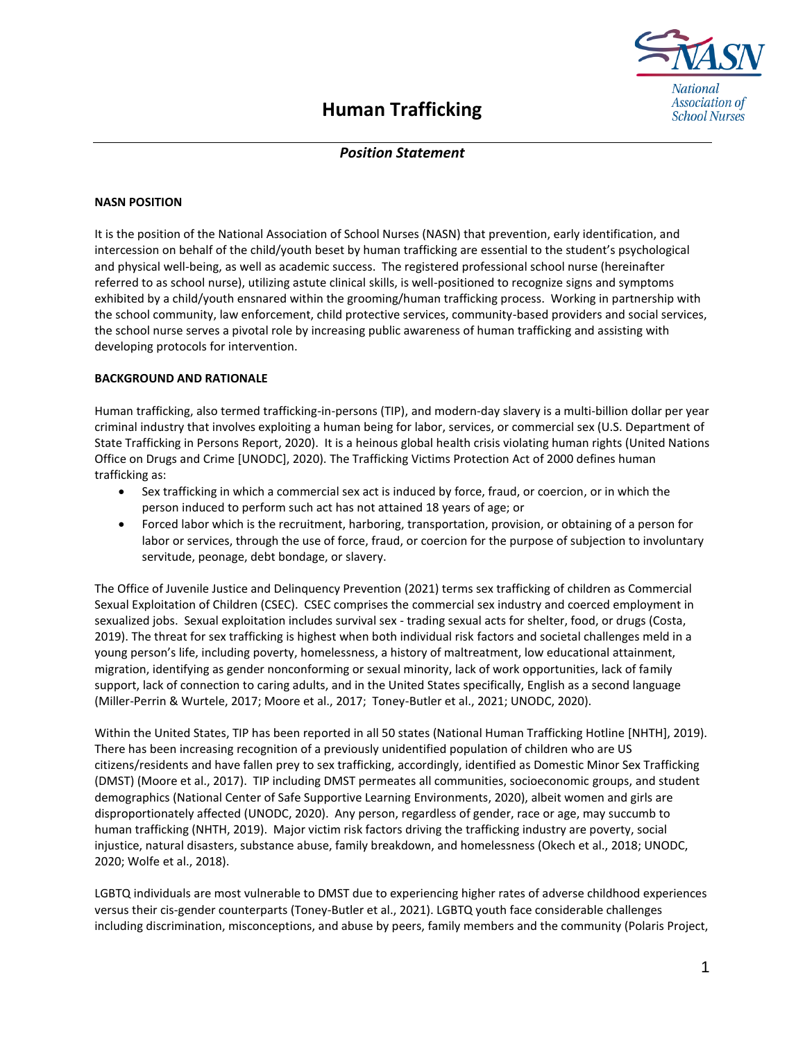

## *Position Statement*

## **NASN POSITION**

It is the position of the National Association of School Nurses (NASN) that prevention, early identification, and intercession on behalf of the child/youth beset by human trafficking are essential to the student's psychological and physical well-being, as well as academic success. The registered professional school nurse (hereinafter referred to as school nurse), utilizing astute clinical skills, is well-positioned to recognize signs and symptoms exhibited by a child/youth ensnared within the grooming/human trafficking process. Working in partnership with the school community, law enforcement, child protective services, community-based providers and social services, the school nurse serves a pivotal role by increasing public awareness of human trafficking and assisting with developing protocols for intervention.

## **BACKGROUND AND RATIONALE**

Human trafficking, also termed trafficking-in-persons (TIP), and modern-day slavery is a multi-billion dollar per year criminal industry that involves exploiting a human being for labor, services, or commercial sex (U.S. Department of State Trafficking in Persons Report, 2020). It is a heinous global health crisis violating human rights (United Nations Office on Drugs and Crime [UNODC], 2020). The Trafficking Victims Protection Act of 2000 defines human trafficking as:

- Sex trafficking in which a commercial sex act is induced by force, fraud, or coercion, or in which the person induced to perform such act has not attained 18 years of age; or
- Forced labor which is the recruitment, harboring, transportation, provision, or obtaining of a person for labor or services, through the use of force, fraud, or coercion for the purpose of subjection to involuntary servitude, peonage, debt bondage, or slavery.

The Office of Juvenile Justice and Delinquency Prevention (2021) terms sex trafficking of children as Commercial Sexual Exploitation of Children (CSEC). CSEC comprises the commercial sex industry and coerced employment in sexualized jobs. Sexual exploitation includes survival sex - trading sexual acts for shelter, food, or drugs (Costa, 2019). The threat for sex trafficking is highest when both individual risk factors and societal challenges meld in a young person's life, including poverty, homelessness, a history of maltreatment, low educational attainment, migration, identifying as gender nonconforming or sexual minority, lack of work opportunities, lack of family support, lack of connection to caring adults, and in the United States specifically, English as a second language (Miller-Perrin & Wurtele, 2017; Moore et al., 2017; Toney-Butler et al., 2021; UNODC, 2020).

Within the United States, TIP has been reported in all 50 states (National Human Trafficking Hotline [NHTH], 2019). There has been increasing recognition of a previously unidentified population of children who are US citizens/residents and have fallen prey to sex trafficking, accordingly, identified as Domestic Minor Sex Trafficking (DMST) (Moore et al., 2017). TIP including DMST permeates all communities, socioeconomic groups, and student demographics (National Center of Safe Supportive Learning Environments, 2020), albeit women and girls are disproportionately affected (UNODC, 2020). Any person, regardless of gender, race or age, may succumb to human trafficking (NHTH, 2019). Major victim risk factors driving the trafficking industry are poverty, social injustice, natural disasters, substance abuse, family breakdown, and homelessness (Okech et al., 2018; UNODC, 2020; Wolfe et al., 2018).

LGBTQ individuals are most vulnerable to DMST due to experiencing higher rates of adverse childhood experiences versus their cis-gender counterparts (Toney-Butler et al., 2021). LGBTQ youth face considerable challenges including discrimination, misconceptions, and abuse by peers, family members and the community (Polaris Project,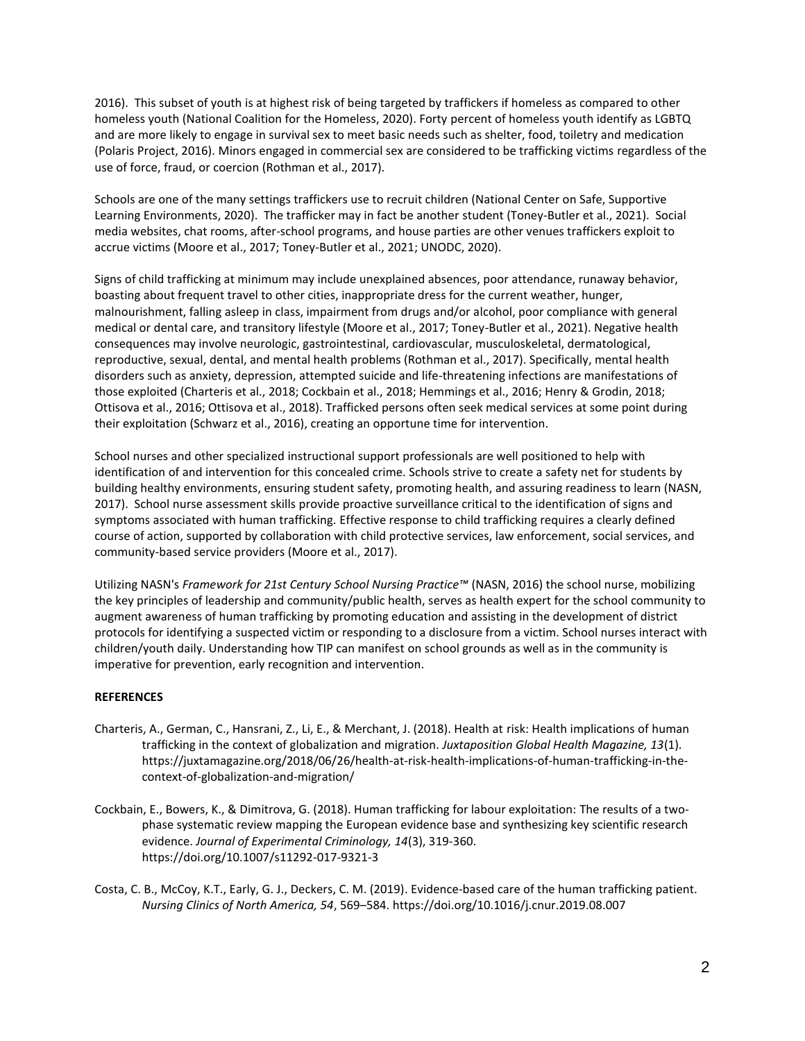2016). This subset of youth is at highest risk of being targeted by traffickers if homeless as compared to other homeless youth (National Coalition for the Homeless, 2020). Forty percent of homeless youth identify as LGBTQ and are more likely to engage in survival sex to meet basic needs such as shelter, food, toiletry and medication (Polaris Project, 2016). Minors engaged in commercial sex are considered to be trafficking victims regardless of the use of force, fraud, or coercion (Rothman et al., 2017).

Schools are one of the many settings traffickers use to recruit children (National Center on Safe, Supportive Learning Environments, 2020). The trafficker may in fact be another student (Toney-Butler et al., 2021). Social media websites, chat rooms, after-school programs, and house parties are other venues traffickers exploit to accrue victims (Moore et al., 2017; Toney-Butler et al., 2021; UNODC, 2020).

Signs of child trafficking at minimum may include unexplained absences, poor attendance, runaway behavior, boasting about frequent travel to other cities, inappropriate dress for the current weather, hunger, malnourishment, falling asleep in class, impairment from drugs and/or alcohol, poor compliance with general medical or dental care, and transitory lifestyle (Moore et al., 2017; Toney-Butler et al., 2021). Negative health consequences may involve neurologic, gastrointestinal, cardiovascular, musculoskeletal, dermatological, reproductive, sexual, dental, and mental health problems (Rothman et al., 2017). Specifically, mental health disorders such as anxiety, depression, attempted suicide and life-threatening infections are manifestations of those exploited (Charteris et al., 2018; Cockbain et al., 2018; Hemmings et al., 2016; Henry & Grodin, 2018; Ottisova et al., 2016; Ottisova et al., 2018). Trafficked persons often seek medical services at some point during their exploitation (Schwarz et al., 2016), creating an opportune time for intervention.

School nurses and other specialized instructional support professionals are well positioned to help with identification of and intervention for this concealed crime. Schools strive to create a safety net for students by building healthy environments, ensuring student safety, promoting health, and assuring readiness to learn (NASN, 2017). School nurse assessment skills provide proactive surveillance critical to the identification of signs and symptoms associated with human trafficking. Effective response to child trafficking requires a clearly defined course of action, supported by collaboration with child protective services, law enforcement, social services, and community-based service providers (Moore et al., 2017).

Utilizing NASN's *Framework for 21st Century School Nursing Practice™* (NASN, 2016) the school nurse, mobilizing the key principles of leadership and community/public health, serves as health expert for the school community to augment awareness of human trafficking by promoting education and assisting in the development of district protocols for identifying a suspected victim or responding to a disclosure from a victim. School nurses interact with children/youth daily. Understanding how TIP can manifest on school grounds as well as in the community is imperative for prevention, early recognition and intervention.

## **REFERENCES**

- Charteris, A., German, C., Hansrani, Z., Li, E., & Merchant, J. (2018). Health at risk: Health implications of human trafficking in the context of globalization and migration. *Juxtaposition Global Health Magazine, 13*(1). https://juxtamagazine.org/2018/06/26/health-at-risk-health-implications-of-human-trafficking-in-thecontext-of-globalization-and-migration/
- Cockbain, E., Bowers, K., & Dimitrova, G. (2018). Human trafficking for labour exploitation: The results of a twophase systematic review mapping the European evidence base and synthesizing key scientific research evidence. *Journal of Experimental Criminology, 14*(3), 319-360. https://doi.org/10.1007/s11292-017-9321-3
- Costa, C. B., McCoy, K.T., Early, G. J., Deckers, C. M. (2019). Evidence-based care of the human trafficking patient. *Nursing Clinics of North America, 54*, 569–584. https://doi.org/10.1016/j.cnur.2019.08.007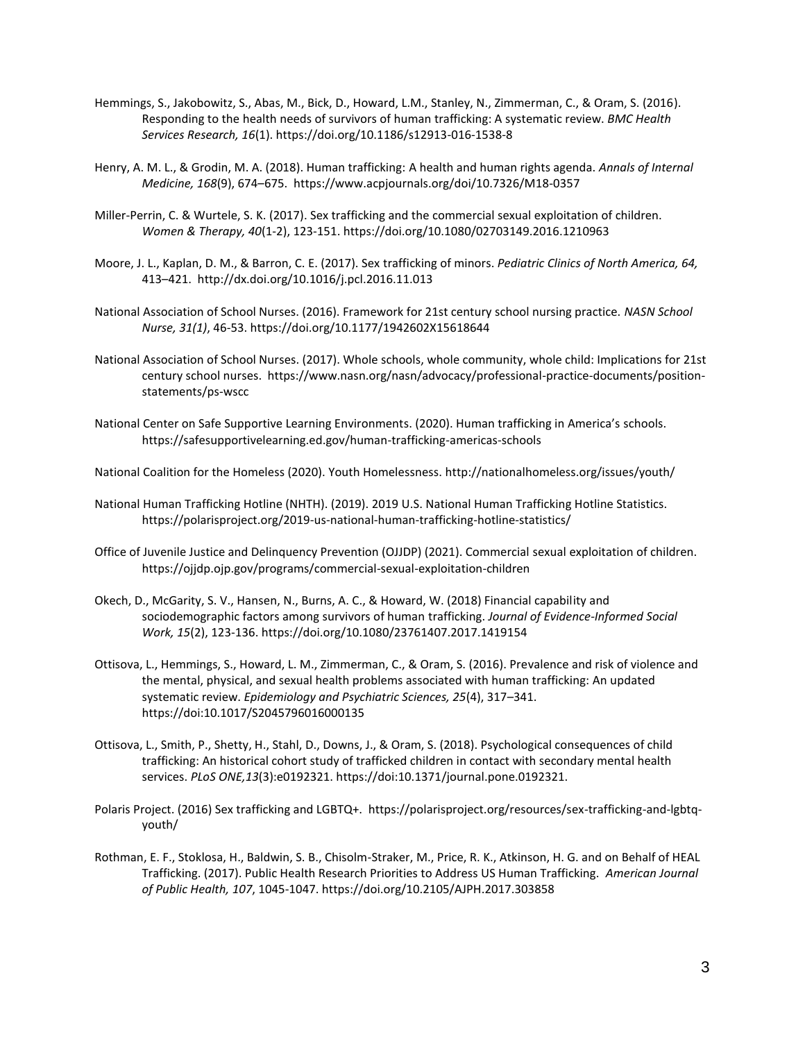- Hemmings, S., Jakobowitz, S., Abas, M., Bick, D., Howard, L.M., Stanley, N., Zimmerman, C., & Oram, S. (2016). Responding to the health needs of survivors of human trafficking: A systematic review. *BMC Health Services Research, 16*(1). https://doi.org/10.1186/s12913-016-1538-8
- Henry, A. M. L., & Grodin, M. A. (2018). Human trafficking: A health and human rights agenda. *Annals of Internal Medicine, 168*(9), 674–675. https://www.acpjournals.org/doi/10.7326/M18-0357
- Miller-Perrin, C. & Wurtele, S. K. (2017). Sex trafficking and the commercial sexual exploitation of children. *Women & Therapy, 40*(1-2), 123-151. https://doi.org/10.1080/02703149.2016.1210963
- Moore, J. L., Kaplan, D. M., & Barron, C. E. (2017). Sex trafficking of minors. *Pediatric Clinics of North America, 64,*  413–421. http://dx.doi.org/10.1016/j.pcl.2016.11.013
- National Association of School Nurses. (2016). Framework for 21st century school nursing practice. *NASN School Nurse, 31(1)*, 46-53. https://doi.org/10.1177/1942602X15618644
- National Association of School Nurses. (2017). Whole schools, whole community, whole child: Implications for 21st century school nurses. https://www.nasn.org/nasn/advocacy/professional-practice-documents/positionstatements/ps-wscc
- National Center on Safe Supportive Learning Environments. (2020). Human trafficking in America's schools. https://safesupportivelearning.ed.gov/human-trafficking-americas-schools
- National Coalition for the Homeless (2020). Youth Homelessness. http://nationalhomeless.org/issues/youth/
- National Human Trafficking Hotline (NHTH). (2019). 2019 U.S. National Human Trafficking Hotline Statistics. https://polarisproject.org/2019-us-national-human-trafficking-hotline-statistics/
- Office of Juvenile Justice and Delinquency Prevention (OJJDP) (2021). Commercial sexual exploitation of children. https://ojjdp.ojp.gov/programs/commercial-sexual-exploitation-children
- Okech, D., McGarity, S. V., Hansen, N., Burns, A. C., & Howard, W. (2018) Financial capability and sociodemographic factors among survivors of human trafficking. *Journal of Evidence-Informed Social Work, 15*(2), 123-136. https://doi.org/10.1080/23761407.2017.1419154
- Ottisova, L., Hemmings, S., Howard, L. M., Zimmerman, C., & Oram, S. (2016). Prevalence and risk of violence and the mental, physical, and sexual health problems associated with human trafficking: An updated systematic review. *Epidemiology and Psychiatric Sciences, 25*(4), 317–341. https://doi:10.1017/S2045796016000135
- Ottisova, L., Smith, P., Shetty, H., Stahl, D., Downs, J., & Oram, S. (2018). Psychological consequences of child trafficking: An historical cohort study of trafficked children in contact with secondary mental health services. *PLoS ONE,13*(3):e0192321. https://doi:10.1371/journal.pone.0192321.
- Polaris Project. (2016) Sex trafficking and LGBTQ+. https://polarisproject.org/resources/sex-trafficking-and-lgbtqyouth/
- Rothman, E. F., Stoklosa, H., Baldwin, S. B., Chisolm-Straker, M., Price, R. K., Atkinson, H. G. and on Behalf of HEAL Trafficking. (2017). Public Health Research Priorities to Address US Human Trafficking. *American Journal of Public Health, 107*, 1045-1047. https://doi.org/10.2105/AJPH.2017.303858